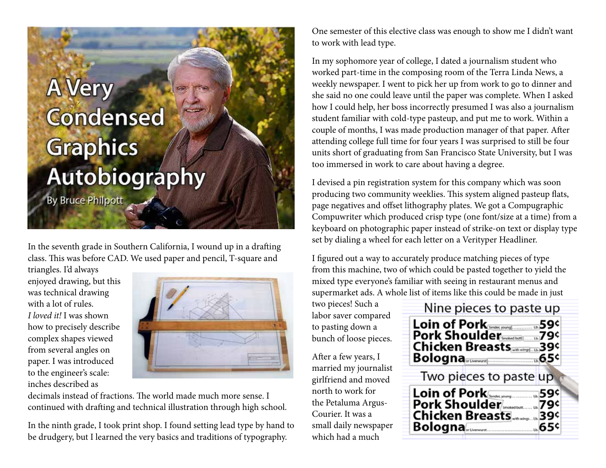## **A Very Condensed Graphics** Autobiography **By Bruce Philpott**

In the seventh grade in Southern California, I wound up in a drafting class. This was before CAD. We used paper and pencil, T-square and

triangles. I'd always enjoyed drawing, but this was technical drawing with a lot of rules. *I loved it!* I was shown how to precisely describe complex shapes viewed from several angles on paper. I was introduced to the engineer's scale: inches described as



decimals instead of fractions. The world made much more sense. I continued with drafting and technical illustration through high school.

In the ninth grade, I took print shop. I found setting lead type by hand to be drudgery, but I learned the very basics and traditions of typography.

One semester of this elective class was enough to show me I didn't want to work with lead type.

In my sophomore year of college, I dated a journalism student who worked part-time in the composing room of the Terra Linda News, a weekly newspaper. I went to pick her up from work to go to dinner and she said no one could leave until the paper was complete. When I asked how I could help, her boss incorrectly presumed I was also a journalism student familiar with cold-type pasteup, and put me to work. Within a couple of months, I was made production manager of that paper. After attending college full time for four years I was surprised to still be four units short of graduating from San Francisco State University, but I was too immersed in work to care about having a degree.

I devised a pin registration system for this company which was soon producing two community weeklies. This system aligned pasteup flats, page negatives and offset lithography plates. We got a Compugraphic Compuwriter which produced crisp type (one font/size at a time) from a keyboard on photographic paper instead of strike-on text or display type set by dialing a wheel for each letter on a Verityper Headliner.

I figured out a way to accurately produce matching pieces of type from this machine, two of which could be pasted together to yield the mixed type everyone's familiar with seeing in restaurant menus and supermarket ads. A whole list of items like this could be made in just

two pieces! Such a labor saver compared to pasting down a bunch of loose pieces.

After a few years, I married my journalist girlfriend and moved north to work for the Petaluma Argus-Courier. It was a small daily newspaper which had a much

| Nine pieces to paste up                                                          |  |
|----------------------------------------------------------------------------------|--|
| Loin of Pork<br>Pork Shoulder Smokedbar(  194<br>Chicken Breasts<br>Bologna      |  |
| Two pieces to paste up                                                           |  |
| Loin of Pork<br>Pork Shoulder/Smoteutbut u. 79¢<br>Chicken Breasts<br>Bologna65¢ |  |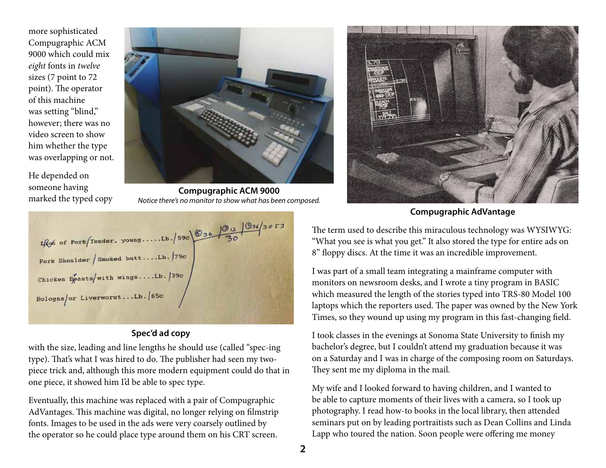more sophisticated Compugraphic ACM 9000 which could mix *eight* fonts in *twelve* sizes (7 point to 72 point). The operator of this machine was setting "blind," however; there was no video screen to show him whether the type was overlapping or not.

He depended on someone having marked the typed copy



**Compugraphic ACM 9000** *Notice there's no monitor to show what has been composed.*



## **Spec'd ad copy**

with the size, leading and line lengths he should use (called "spec-ing type). That's what I was hired to do. The publisher had seen my twopiece trick and, although this more modern equipment could do that in one piece, it showed him I'd be able to spec type.

Eventually, this machine was replaced with a pair of Compugraphic AdVantages. This machine was digital, no longer relying on filmstrip fonts. Images to be used in the ads were very coarsely outlined by the operator so he could place type around them on his CRT screen.



**Compugraphic AdVantage**

The term used to describe this miraculous technology was WYSIWYG: "What you see is what you get." It also stored the type for entire ads on 8" floppy discs. At the time it was an incredible improvement.

I was part of a small team integrating a mainframe computer with monitors on newsroom desks, and I wrote a tiny program in BASIC which measured the length of the stories typed into TRS-80 Model 100 laptops which the reporters used. The paper was owned by the New York Times, so they wound up using my program in this fast-changing field.

I took classes in the evenings at Sonoma State University to finish my bachelor's degree, but I couldn't attend my graduation because it was on a Saturday and I was in charge of the composing room on Saturdays. They sent me my diploma in the mail.

My wife and I looked forward to having children, and I wanted to be able to capture moments of their lives with a camera, so I took up photography. I read how-to books in the local library, then attended seminars put on by leading portraitists such as Dean Collins and Linda Lapp who toured the nation. Soon people were offering me money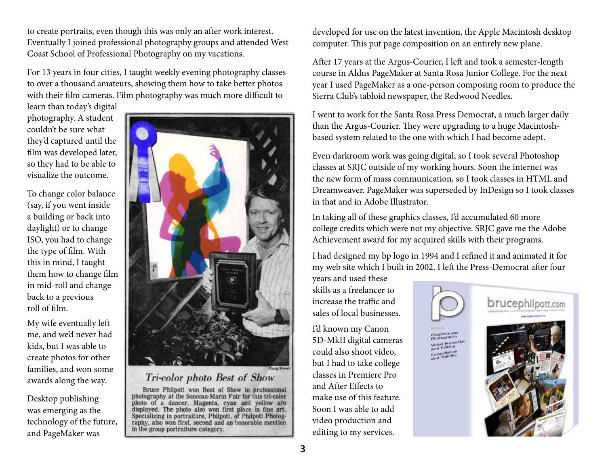to create portraits, even though this was only an after work interest. Eventually I joined professional photography groups and attended West Coast School of Professional Photography on my vacations.

For 13 years in four cities, I taught weekly evening photography classes to over a thousand amateurs, showing them how to take better photos with their film cameras. Film photography was much more difficult to

learn than today's digital photography. A student couldn't be sure what they'd captured until the film was developed later, so they had to be able to visualize the outcome.

To change color balance (say, if you went inside a building or back into daylight) or to change ISO, you had to change the type of film. With this in mind, I taught them how to change film in mid-roll and change back to a previous roll of film.

My wife eventually left me, and we'd never had kids, but I was able to create photos for other families, and won some awards along the way.

Desktop publishing was emerging as the technology of the future, and PageMaker was



Tri-color photo Best of Show

Bruce Philpott won Best of Show in professional photography at the Sonoma-Marin Fair for this tri-color photo of a dancer. Magenta, cyan and yellow are displayed. The photo also won first place in fine art.<br>Specializing in portraiture, Philpott, of Philpott Photography, also won first, second and an honorable mention in the group portraiture category.

developed for use on the latest invention, the Apple Macintosh desktop computer. This put page composition on an entirely new plane.

After 17 years at the Argus-Courier, I left and took a semester-length course in Aldus PageMaker at Santa Rosa Junior College. For the next year I used PageMaker as a one-person composing room to produce the Sierra Club's tabloid newspaper, the Redwood Needles.

I went to work for the Santa Rosa Press Democrat, a much larger daily than the Argus-Courier. They were upgrading to a huge Macintoshbased system related to the one with which I had become adept.

Even darkroom work was going digital, so I took several Photoshop classes at SRJC outside of my working hours. Soon the internet was the new form of mass communication, so I took classes in HTML and Dreamweaver. PageMaker was superseded by InDesign so I took classes in that and in Adobe Illustrator.

In taking all of these graphics classes, I'd accumulated 60 more college credits which were not my objective. SRJC gave me the Adobe Achievement award for my acquired skills with their programs.

I had designed my bp logo in 1994 and I refined it and animated it for my web site which I built in 2002. I left the Press-Democrat after four

years and used these skills as a freelancer to increase the traffic and sales of local businesses.

I'd known my Canon 5D-MkII digital cameras could also shoot video, but I had to take college classes in Premiere Pro and After Effects to make use of this feature. Soon I was able to add video production and editing to my services.



Video Predection consultation<br>Consultation